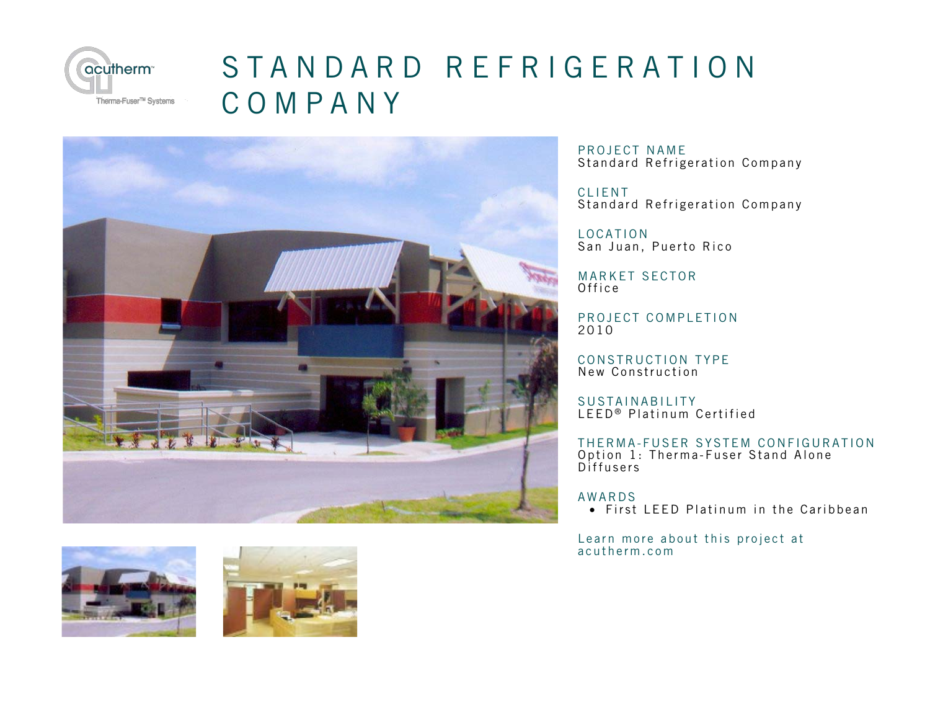

## [STANDARD REFRIGERATION](http://acutherm.com/project/Standard-Refrigeration-Company) COMPANY





PROJECT NAME Standard Refrigeration Company

CLIENT Standard Refrigeration Company

LOCATION San Juan, Puerto Rico

MARKET SECTOR Office

PROJECT COMPLETION 2010

CONSTRUCTION TYPE New Construction

SUSTAINABILITY LEED<sup>®</sup> Platinum Certified

THERMA-FUSER SYSTEM CONFIGURATION Option 1: Therma-Fuser Stand Alone Diffusers

## AWARDS

• First LEED Platinum in the Caribbean

Lea[rn more about this project at](http://acutherm.com/project/Standard-Refrigeration-Company) acutherm.com